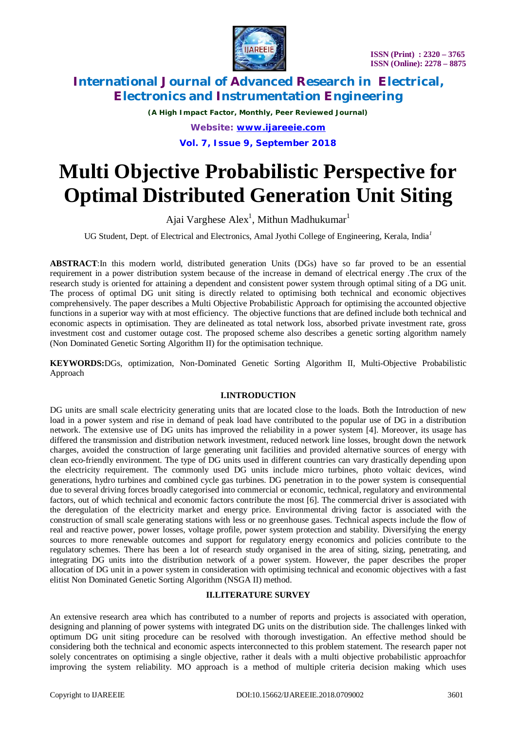

*(A High Impact Factor, Monthly, Peer Reviewed Journal) Website: [www.ijareeie.com](http://www.ijareeie.com)* **Vol. 7, Issue 9, September 2018**

# **Multi Objective Probabilistic Perspective for Optimal Distributed Generation Unit Siting**

Ajai Varghese Alex<sup>1</sup>, Mithun Madhukumar<sup>1</sup>

UG Student, Dept. of Electrical and Electronics, Amal Jyothi College of Engineering, Kerala, India*<sup>1</sup>*

**ABSTRACT**:In this modern world, distributed generation Units (DGs) have so far proved to be an essential requirement in a power distribution system because of the increase in demand of electrical energy .The crux of the research study is oriented for attaining a dependent and consistent power system through optimal siting of a DG unit. The process of optimal DG unit siting is directly related to optimising both technical and economic objectives comprehensively. The paper describes a Multi Objective Probabilistic Approach for optimising the accounted objective functions in a superior way with at most efficiency. The objective functions that are defined include both technical and economic aspects in optimisation. They are delineated as total network loss, absorbed private investment rate, gross investment cost and customer outage cost. The proposed scheme also describes a genetic sorting algorithm namely (Non Dominated Genetic Sorting Algorithm II) for the optimisation technique.

**KEYWORDS:**DGs, optimization, Non-Dominated Genetic Sorting Algorithm II, Multi-Objective Probabilistic Approach

### **I.INTRODUCTION**

DG units are small scale electricity generating units that are located close to the loads. Both the Introduction of new load in a power system and rise in demand of peak load have contributed to the popular use of DG in a distribution network. The extensive use of DG units has improved the reliability in a power system [4]. Moreover, its usage has differed the transmission and distribution network investment, reduced network line losses, brought down the network charges, avoided the construction of large generating unit facilities and provided alternative sources of energy with clean eco-friendly environment. The type of DG units used in different countries can vary drastically depending upon the electricity requirement. The commonly used DG units include micro turbines, photo voltaic devices, wind generations, hydro turbines and combined cycle gas turbines. DG penetration in to the power system is consequential due to several driving forces broadly categorised into commercial or economic, technical, regulatory and environmental factors, out of which technical and economic factors contribute the most [6]. The commercial driver is associated with the deregulation of the electricity market and energy price. Environmental driving factor is associated with the construction of small scale generating stations with less or no greenhouse gases. Technical aspects include the flow of real and reactive power, power losses, voltage profile, power system protection and stability. Diversifying the energy sources to more renewable outcomes and support for regulatory energy economics and policies contribute to the regulatory schemes. There has been a lot of research study organised in the area of siting, sizing, penetrating, and integrating DG units into the distribution network of a power system. However, the paper describes the proper allocation of DG unit in a power system in consideration with optimising technical and economic objectives with a fast elitist Non Dominated Genetic Sorting Algorithm (NSGA II) method.

### **II.LITERATURE SURVEY**

An extensive research area which has contributed to a number of reports and projects is associated with operation, designing and planning of power systems with integrated DG units on the distribution side. The challenges linked with optimum DG unit siting procedure can be resolved with thorough investigation. An effective method should be considering both the technical and economic aspects interconnected to this problem statement. The research paper not solely concentrates on optimising a single objective, rather it deals with a multi objective probabilistic approachfor improving the system reliability. MO approach is a method of multiple criteria decision making which uses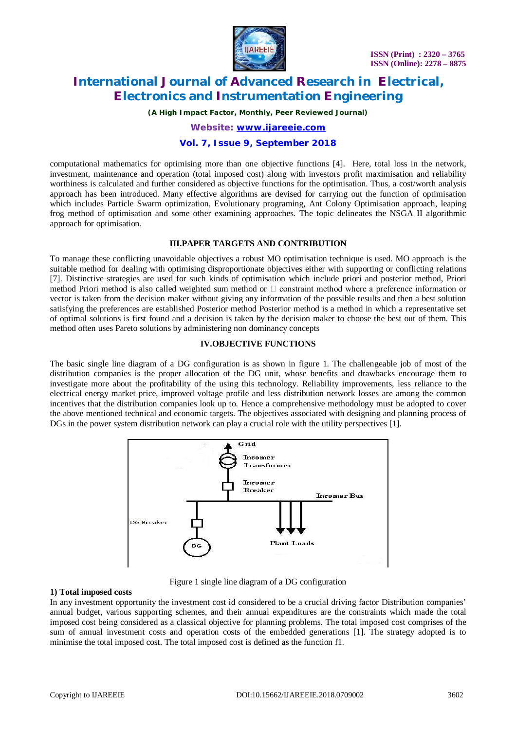

*(A High Impact Factor, Monthly, Peer Reviewed Journal)*

*Website: [www.ijareeie.com](http://www.ijareeie.com)*

### **Vol. 7, Issue 9, September 2018**

computational mathematics for optimising more than one objective functions [4]. Here, total loss in the network, investment, maintenance and operation (total imposed cost) along with investors profit maximisation and reliability worthiness is calculated and further considered as objective functions for the optimisation. Thus, a cost/worth analysis approach has been introduced. Many effective algorithms are devised for carrying out the function of optimisation which includes Particle Swarm optimization, Evolutionary programing, Ant Colony Optimisation approach, leaping frog method of optimisation and some other examining approaches. The topic delineates the NSGA II algorithmic approach for optimisation.

### **III.PAPER TARGETS AND CONTRIBUTION**

To manage these conflicting unavoidable objectives a robust MO optimisation technique is used. MO approach is the suitable method for dealing with optimising disproportionate objectives either with supporting or conflicting relations [7]. Distinctive strategies are used for such kinds of optimisation which include priori and posterior method, Priori method Priori method is also called weighted sum method or  $\Box$  constraint method where a preference information or vector is taken from the decision maker without giving any information of the possible results and then a best solution satisfying the preferences are established Posterior method Posterior method is a method in which a representative set of optimal solutions is first found and a decision is taken by the decision maker to choose the best out of them. This method often uses Pareto solutions by administering non dominancy concepts

### **IV.OBJECTIVE FUNCTIONS**

The basic single line diagram of a DG configuration is as shown in figure 1. The challengeable job of most of the distribution companies is the proper allocation of the DG unit, whose benefits and drawbacks encourage them to investigate more about the profitability of the using this technology. Reliability improvements, less reliance to the electrical energy market price, improved voltage profile and less distribution network losses are among the common incentives that the distribution companies look up to. Hence a comprehensive methodology must be adopted to cover the above mentioned technical and economic targets. The objectives associated with designing and planning process of DGs in the power system distribution network can play a crucial role with the utility perspectives [1].



Figure 1 single line diagram of a DG configuration

### **1) Total imposed costs**

In any investment opportunity the investment cost id considered to be a crucial driving factor Distribution companies' annual budget, various supporting schemes, and their annual expenditures are the constraints which made the total imposed cost being considered as a classical objective for planning problems. The total imposed cost comprises of the sum of annual investment costs and operation costs of the embedded generations [1]. The strategy adopted is to minimise the total imposed cost. The total imposed cost is defined as the function f1.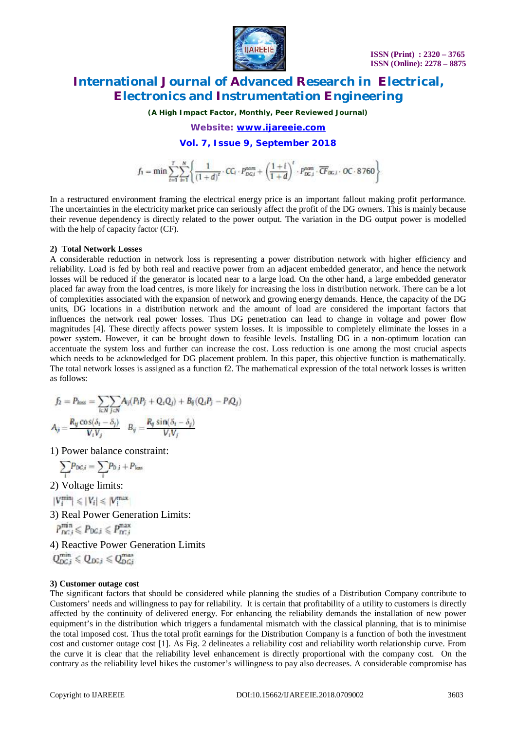

*(A High Impact Factor, Monthly, Peer Reviewed Journal)*

*Website: [www.ijareeie.com](http://www.ijareeie.com)*

**Vol. 7, Issue 9, September 2018**

 $f_1 = \min \sum_{i=1}^T \sum_{i=1}^N \left\{ \frac{1}{(1+d)^i} \cdot CC_i \cdot P_{DG,i}^{\text{nom}} + \left( \frac{1+i}{1+d} \right)^t \cdot P_{DG,i}^{\text{nom}} \cdot \overline{CF}_{DG,i} \cdot OC \cdot 8760 \right\}$ 

In a restructured environment framing the electrical energy price is an important fallout making profit performance. The uncertainties in the electricity market price can seriously affect the profit of the DG owners. This is mainly because their revenue dependency is directly related to the power output. The variation in the DG output power is modelled with the help of capacity factor (CF).

#### **2) Total Network Losses**

A considerable reduction in network loss is representing a power distribution network with higher efficiency and reliability. Load is fed by both real and reactive power from an adjacent embedded generator, and hence the network losses will be reduced if the generator is located near to a large load. On the other hand, a large embedded generator placed far away from the load centres, is more likely for increasing the loss in distribution network. There can be a lot of complexities associated with the expansion of network and growing energy demands. Hence, the capacity of the DG units, DG locations in a distribution network and the amount of load are considered the important factors that influences the network real power losses. Thus DG penetration can lead to change in voltage and power flow magnitudes [4]. These directly affects power system losses. It is impossible to completely eliminate the losses in a power system. However, it can be brought down to feasible levels. Installing DG in a non-optimum location can accentuate the system loss and further can increase the cost. Loss reduction is one among the most crucial aspects which needs to be acknowledged for DG placement problem. In this paper, this objective function is mathematically. The total network losses is assigned as a function f2. The mathematical expression of the total network losses is written as follows:

$$
f_2 = P_{loss} = \sum_{i \in N} \sum_{j \in N} A_{ij} (P_i P_j + Q_i Q_j) + B_{ij} (Q_i P_j - P_i Q_j)
$$
  

$$
A_{ij} = \frac{R_{ij} \cos(\delta_i - \delta_j)}{V_i V_i} \qquad B_{ij} = \frac{R_{ij} \sin(\delta_i - \delta_j)}{V_i V_i}
$$

1) Power balance constraint:

$$
\sum_i P_{DG,i} = \sum_i P_{D,i} + P_{\text{lass}}
$$

2) Voltage limits:

 $|V_i^{\min}| \leq |V_i| \leq |V_i^{\max}|$ 

3) Real Power Generation Limits:

$$
P_{DC,i}^{\min} \leqslant P_{DC,i} \leqslant P_{DC,i}^{\max}
$$

4) Reactive Power Generation Limits

$$
Q_{DC,i}^{\min} \leqslant Q_{DC,i} \leqslant Q_{DC,i}^{\max}
$$

### **3) Customer outage cost**

The significant factors that should be considered while planning the studies of a Distribution Company contribute to Customers' needs and willingness to pay for reliability. It is certain that profitability of a utility to customers is directly affected by the continuity of delivered energy. For enhancing the reliability demands the installation of new power equipment's in the distribution which triggers a fundamental mismatch with the classical planning, that is to minimise the total imposed cost. Thus the total profit earnings for the Distribution Company is a function of both the investment cost and customer outage cost [1]. As Fig. 2 delineates a reliability cost and reliability worth relationship curve. From the curve it is clear that the reliability level enhancement is directly proportional with the company cost. On the contrary as the reliability level hikes the customer's willingness to pay also decreases. A considerable compromise has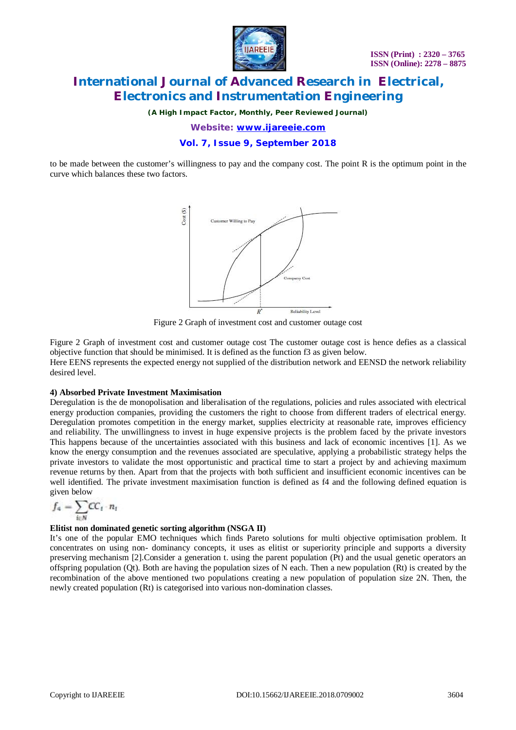

*(A High Impact Factor, Monthly, Peer Reviewed Journal)*

*Website: [www.ijareeie.com](http://www.ijareeie.com)*

### **Vol. 7, Issue 9, September 2018**

to be made between the customer's willingness to pay and the company cost. The point R is the optimum point in the curve which balances these two factors.



Figure 2 Graph of investment cost and customer outage cost

Figure 2 Graph of investment cost and customer outage cost The customer outage cost is hence defies as a classical objective function that should be minimised. It is defined as the function f3 as given below. Here EENS represents the expected energy not supplied of the distribution network and EENSD the network reliability desired level.

### **4) Absorbed Private Investment Maximisation**

Deregulation is the de monopolisation and liberalisation of the regulations, policies and rules associated with electrical energy production companies, providing the customers the right to choose from different traders of electrical energy. Deregulation promotes competition in the energy market, supplies electricity at reasonable rate, improves efficiency and reliability. The unwillingness to invest in huge expensive projects is the problem faced by the private investors This happens because of the uncertainties associated with this business and lack of economic incentives [1]. As we know the energy consumption and the revenues associated are speculative, applying a probabilistic strategy helps the private investors to validate the most opportunistic and practical time to start a project by and achieving maximum revenue returns by then. Apart from that the projects with both sufficient and insufficient economic incentives can be well identified. The private investment maximisation function is defined as f4 and the following defined equation is given below

$$
f_4 = \sum_{i \in N} \text{CC}_i \cdot n_i
$$

#### **Elitist non dominated genetic sorting algorithm (NSGA II)**

It's one of the popular EMO techniques which finds Pareto solutions for multi objective optimisation problem. It concentrates on using non- dominancy concepts, it uses as elitist or superiority principle and supports a diversity preserving mechanism [2].Consider a generation t. using the parent population (Pt) and the usual genetic operators an offspring population (Qt). Both are having the population sizes of N each. Then a new population (Rt) is created by the recombination of the above mentioned two populations creating a new population of population size 2N. Then, the newly created population (Rt) is categorised into various non-domination classes.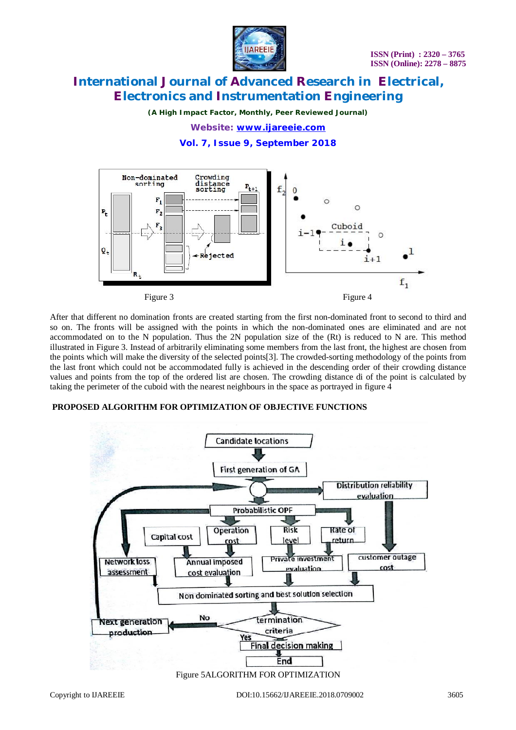

*(A High Impact Factor, Monthly, Peer Reviewed Journal)*

*Website: [www.ijareeie.com](http://www.ijareeie.com)*

**Vol. 7, Issue 9, September 2018**



After that different no domination fronts are created starting from the first non-dominated front to second to third and so on. The fronts will be assigned with the points in which the non-dominated ones are eliminated and are not accommodated on to the N population. Thus the 2N population size of the (Rt) is reduced to N are. This method illustrated in Figure 3. Instead of arbitrarily eliminating some members from the last front, the highest are chosen from the points which will make the diversity of the selected points[3]. The crowded-sorting methodology of the points from the last front which could not be accommodated fully is achieved in the descending order of their crowding distance values and points from the top of the ordered list are chosen. The crowding distance di of the point is calculated by taking the perimeter of the cuboid with the nearest neighbours in the space as portrayed in figure 4

### **PROPOSED ALGORITHM FOR OPTIMIZATION OF OBJECTIVE FUNCTIONS**